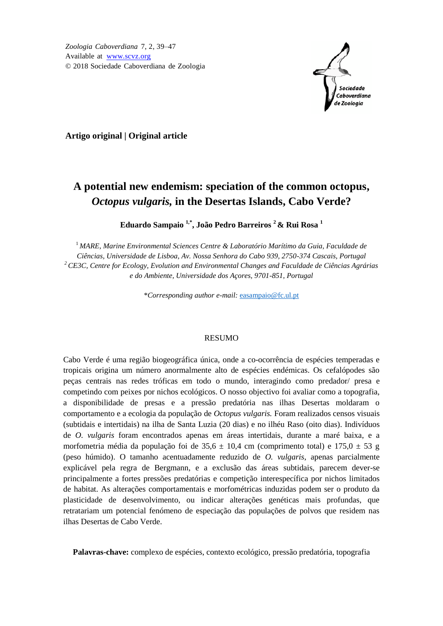

**Artigo original | Original article**

# **A potential new endemism: speciation of the common octopus,** *Octopus vulgaris,* **in the Desertas Islands, Cabo Verde?**

**Eduardo Sampaio 1,\* , João Pedro Barreiros <sup>2</sup> & Rui Rosa <sup>1</sup>**

<sup>1</sup> *MARE, Marine Environmental Sciences Centre & Laboratório Marítimo da Guia, Faculdade de Ciências, Universidade de Lisboa, Av. Nossa Senhora do Cabo 939, 2750-374 Cascais, Portugal <sup>2</sup> CE3C, Centre for Ecology, Evolution and Environmental Changes and Faculdade de Ciências Agrárias e do Ambiente, Universidade dos Açores, 9701-851, Portugal*

\**Corresponding author e-mail:* [easampaio@fc.ul.pt](mailto:easampaio@fc.ul.pt)

## RESUMO

Cabo Verde é uma região biogeográfica única, onde a co-ocorrência de espécies temperadas e tropicais origina um número anormalmente alto de espécies endémicas. Os cefalópodes são peças centrais nas redes tróficas em todo o mundo, interagindo como predador/ presa e competindo com peixes por nichos ecológicos. O nosso objectivo foi avaliar como a topografia, a disponibilidade de presas e a pressão predatória nas ilhas Desertas moldaram o comportamento e a ecologia da população de *Octopus vulgaris.* Foram realizados censos visuais (subtidais e intertidais) na ilha de Santa Luzia (20 dias) e no ilhéu Raso (oito dias). Indivíduos de *O. vulgaris* foram encontrados apenas em áreas intertidais, durante a maré baixa, e a morfometria média da população foi de 35,6  $\pm$  10,4 cm (comprimento total) e 175,0  $\pm$  53 g (peso húmido). O tamanho acentuadamente reduzido de *O. vulgaris*, apenas parcialmente explicável pela regra de Bergmann, e a exclusão das áreas subtidais, parecem dever-se principalmente a fortes pressões predatórias e competição interespecífica por nichos limitados de habitat. As alterações comportamentais e morfométricas induzidas podem ser o produto da plasticidade de desenvolvimento, ou indicar alterações genéticas mais profundas, que retratariam um potencial fenómeno de especiação das populações de polvos que residem nas ilhas Desertas de Cabo Verde.

**Palavras-chave:** complexo de espécies, contexto ecológico, pressão predatória, topografia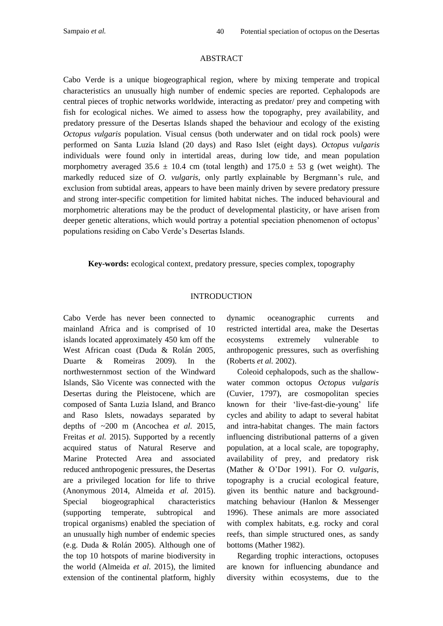#### ABSTRACT

Cabo Verde is a unique biogeographical region, where by mixing temperate and tropical characteristics an unusually high number of endemic species are reported. Cephalopods are central pieces of trophic networks worldwide, interacting as predator/ prey and competing with fish for ecological niches. We aimed to assess how the topography, prey availability, and predatory pressure of the Desertas Islands shaped the behaviour and ecology of the existing *Octopus vulgaris* population. Visual census (both underwater and on tidal rock pools) were performed on Santa Luzia Island (20 days) and Raso Islet (eight days)*. Octopus vulgaris* individuals were found only in intertidal areas, during low tide, and mean population morphometry averaged 35.6  $\pm$  10.4 cm (total length) and 175.0  $\pm$  53 g (wet weight). The markedly reduced size of *O. vulgaris*, only partly explainable by Bergmann's rule, and exclusion from subtidal areas, appears to have been mainly driven by severe predatory pressure and strong inter-specific competition for limited habitat niches. The induced behavioural and morphometric alterations may be the product of developmental plasticity, or have arisen from deeper genetic alterations, which would portray a potential speciation phenomenon of octopus' populations residing on Cabo Verde's Desertas Islands.

**Key-words:** ecological context, predatory pressure, species complex, topography

# INTRODUCTION

Cabo Verde has never been connected to mainland Africa and is comprised of 10 islands located approximately 450 km off the West African coast (Duda & Rolán 2005, Duarte & Romeiras 2009)*.* In the northwesternmost section of the Windward Islands, São Vicente was connected with the Desertas during the Pleistocene, which are composed of Santa Luzia Island, and Branco and Raso Islets, nowadays separated by depths of ~200 m (Ancochea *et al.* 2015, Freitas *et al.* 2015). Supported by a recently acquired status of Natural Reserve and Marine Protected Area and associated reduced anthropogenic pressures, the Desertas are a privileged location for life to thrive (Anonymous 2014, Almeida *et al.* 2015). Special biogeographical characteristics (supporting temperate, subtropical and tropical organisms) enabled the speciation of an unusually high number of endemic species (e.g. Duda & Rolán 2005). Although one of the top 10 hotspots of marine biodiversity in the world (Almeida *et al.* 2015), the limited extension of the continental platform, highly

dynamic oceanographic currents and restricted intertidal area, make the Desertas ecosystems extremely vulnerable to anthropogenic pressures, such as overfishing (Roberts *et al.* 2002).

Coleoid cephalopods, such as the shallowwater common octopus *Octopus vulgaris* (Cuvier, 1797), are cosmopolitan species known for their 'live-fast-die-young' life cycles and ability to adapt to several habitat and intra-habitat changes. The main factors influencing distributional patterns of a given population, at a local scale, are topography, availability of prey, and predatory risk (Mather & O'Dor 1991). For *O. vulgaris*, topography is a crucial ecological feature, given its benthic nature and backgroundmatching behaviour (Hanlon & Messenger 1996). These animals are more associated with complex habitats, e.g. rocky and coral reefs, than simple structured ones, as sandy bottoms (Mather 1982).

Regarding trophic interactions, octopuses are known for influencing abundance and diversity within ecosystems, due to the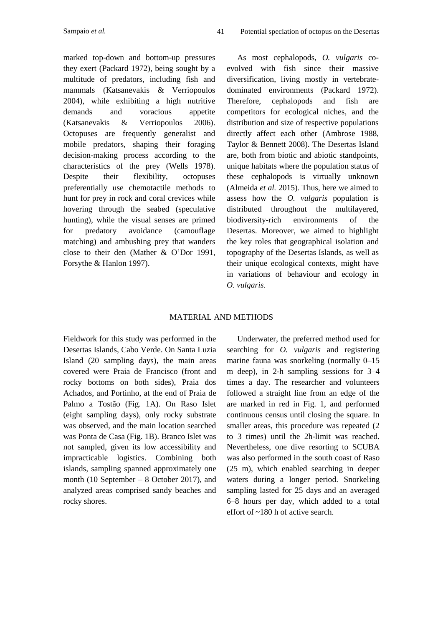marked top-down and bottom-up pressures they exert (Packard 1972), being sought by a multitude of predators, including fish and mammals (Katsanevakis & Verriopoulos 2004), while exhibiting a high nutritive demands and voracious appetite (Katsanevakis & Verriopoulos 2006). Octopuses are frequently generalist and mobile predators, shaping their foraging decision-making process according to the characteristics of the prey (Wells 1978). Despite their flexibility, octopuses preferentially use chemotactile methods to hunt for prey in rock and coral crevices while hovering through the seabed (speculative hunting), while the visual senses are primed for predatory avoidance (camouflage matching) and ambushing prey that wanders close to their den (Mather & O'Dor 1991, Forsythe & Hanlon 1997).

As most cephalopods, *O. vulgaris* coevolved with fish since their massive diversification, living mostly in vertebratedominated environments (Packard 1972). Therefore, cephalopods and fish are competitors for ecological niches, and the distribution and size of respective populations directly affect each other (Ambrose 1988, Taylor & Bennett 2008). The Desertas Island are, both from biotic and abiotic standpoints, unique habitats where the population status of these cephalopods is virtually unknown (Almeida *et al.* 2015). Thus, here we aimed to assess how the *O. vulgaris* population is distributed throughout the multilayered, biodiversity-rich environments of the Desertas. Moreover, we aimed to highlight the key roles that geographical isolation and topography of the Desertas Islands, as well as their unique ecological contexts, might have in variations of behaviour and ecology in *O. vulgaris*.

#### MATERIAL AND METHODS

Fieldwork for this study was performed in the Desertas Islands, Cabo Verde. On Santa Luzia Island (20 sampling days), the main areas covered were Praia de Francisco (front and rocky bottoms on both sides), Praia dos Achados, and Portinho, at the end of Praia de Palmo a Tostão (Fig. 1A). On Raso Islet (eight sampling days), only rocky substrate was observed, and the main location searched was Ponta de Casa (Fig. 1B). Branco Islet was not sampled, given its low accessibility and impracticable logistics. Combining both islands, sampling spanned approximately one month (10 September – 8 October 2017), and analyzed areas comprised sandy beaches and rocky shores.

Underwater, the preferred method used for searching for *O. vulgaris* and registering marine fauna was snorkeling (normally 0–15 m deep), in 2-h sampling sessions for 3–4 times a day. The researcher and volunteers followed a straight line from an edge of the are marked in red in Fig. 1, and performed continuous census until closing the square. In smaller areas, this procedure was repeated (2 to 3 times) until the 2h-limit was reached. Nevertheless, one dive resorting to SCUBA was also performed in the south coast of Raso (25 m), which enabled searching in deeper waters during a longer period. Snorkeling sampling lasted for 25 days and an averaged 6–8 hours per day, which added to a total effort of ~180 h of active search.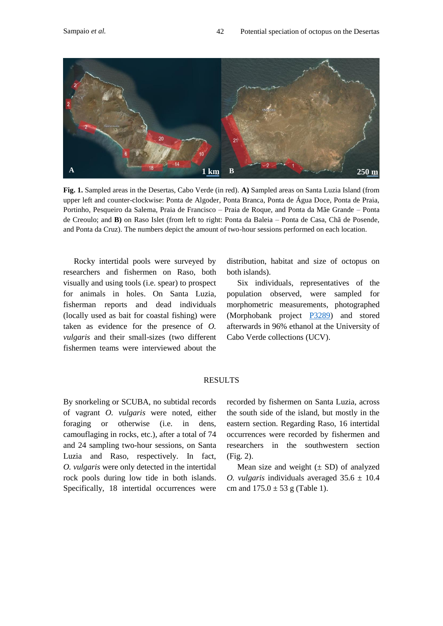

**Fig. 1.** Sampled areas in the Desertas, Cabo Verde (in red). **A)** Sampled areas on Santa Luzia Island (from upper left and counter-clockwise: Ponta de Algoder, Ponta Branca, Ponta de Água Doce, Ponta de Praia, Portinho, Pesqueiro da Salema, Praia de Francisco – Praia de Roque, and Ponta da Mãe Grande – Ponta de Creoulo; and **B)** on Raso Islet (from left to right: Ponta da Baleia – Ponta de Casa, Chã de Posende, and Ponta da Cruz). The numbers depict the amount of two-hour sessions performed on each location.

Rocky intertidal pools were surveyed by researchers and fishermen on Raso, both visually and using tools (i.e. spear) to prospect for animals in holes. On Santa Luzia, fisherman reports and dead individuals (locally used as bait for coastal fishing) were taken as evidence for the presence of *O. vulgaris* and their small-sizes (two different fishermen teams were interviewed about the

distribution, habitat and size of octopus on both islands).

Six individuals, representatives of the population observed, were sampled for morphometric measurements, photographed (Morphobank project  $P3289$ ) and stored afterwards in 96% ethanol at the University of Cabo Verde collections (UCV).

## RESULTS

By snorkeling or SCUBA, no subtidal records of vagrant *O. vulgaris* were noted, either foraging or otherwise (i.e. in dens, camouflaging in rocks, etc.), after a total of 74 and 24 sampling two-hour sessions, on Santa Luzia and Raso, respectively. In fact, *O. vulgaris* were only detected in the intertidal rock pools during low tide in both islands. Specifically, 18 intertidal occurrences were

recorded by fishermen on Santa Luzia, across the south side of the island, but mostly in the eastern section. Regarding Raso, 16 intertidal occurrences were recorded by fishermen and researchers in the southwestern section (Fig. 2).

Mean size and weight  $(\pm SD)$  of analyzed *O. vulgaris* individuals averaged  $35.6 \pm 10.4$ cm and  $175.0 \pm 53$  g (Table 1).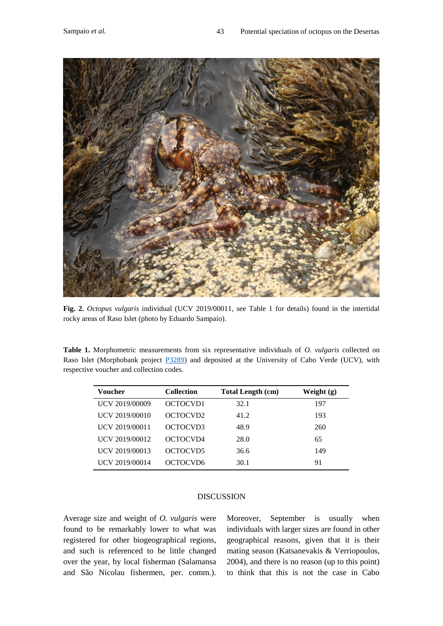

**Fig. 2.** *Octopus vulgaris* individual (UCV 2019/00011, see Table 1 for details) found in the intertidal rocky areas of Raso Islet (photo by Eduardo Sampaio).

**Table 1.** Morphometric measurements from six representative individuals of *O. vulgaris* collected on Raso Islet (Morphobank project [P3289\)](https://morphobank.org/index.php/Projects/ProjectOverview/project_id/3289) and deposited at the University of Cabo Verde (UCV), with respective voucher and collection codes.

| <b>Voucher</b> | <b>Collection</b>    | <b>Total Length (cm)</b> | Weight $(g)$ |
|----------------|----------------------|--------------------------|--------------|
| UCV 2019/00009 | OCTOCVD1             | 32.1                     | 197          |
| UCV 2019/00010 | OCTOCVD <sub>2</sub> | 41.2                     | 193          |
| UCV 2019/00011 | OCTOCVD3             | 48.9                     | 260          |
| UCV 2019/00012 | OCTOCVD4             | 28.0                     | 65           |
| UCV 2019/00013 | OCTOCVD5             | 36.6                     | 149          |
| UCV 2019/00014 | OCTOCVD6             | 30.1                     | 91           |

# DISCUSSION

Average size and weight of *O. vulgaris* were found to be remarkably lower to what was registered for other biogeographical regions, and such is referenced to be little changed over the year, by local fisherman (Salamansa and São Nicolau fishermen, per. comm.).

Moreover, September is usually when individuals with larger sizes are found in other geographical reasons, given that it is their mating season (Katsanevakis & Verriopoulos, 2004), and there is no reason (up to this point) to think that this is not the case in Cabo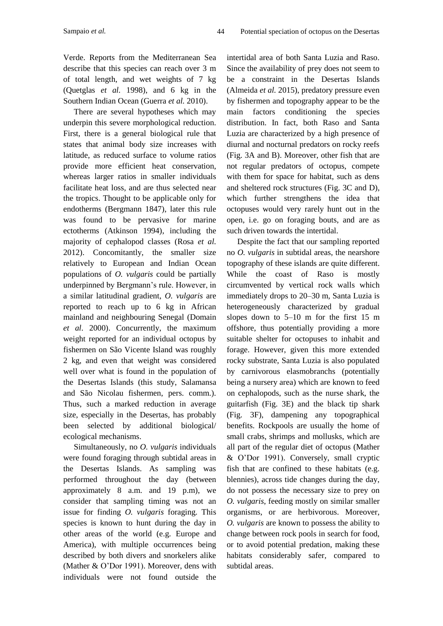Verde. Reports from the Mediterranean Sea describe that this species can reach over 3 m of total length, and wet weights of 7 kg (Quetglas *et al.* 1998), and 6 kg in the Southern Indian Ocean (Guerra *et al.* 2010).

There are several hypotheses which may underpin this severe morphological reduction. First, there is a general biological rule that states that animal body size increases with latitude, as reduced surface to volume ratios provide more efficient heat conservation, whereas larger ratios in smaller individuals facilitate heat loss, and are thus selected near the tropics. Thought to be applicable only for endotherms (Bergmann 1847), later this rule was found to be pervasive for marine ectotherms (Atkinson 1994), including the majority of cephalopod classes (Rosa *et al.* 2012). Concomitantly, the smaller size relatively to European and Indian Ocean populations of *O. vulgaris* could be partially underpinned by Bergmann's rule. However, in a similar latitudinal gradient, *O. vulgaris* are reported to reach up to 6 kg in African mainland and neighbouring Senegal (Domain *et al*. 2000). Concurrently, the maximum weight reported for an individual octopus by fishermen on São Vicente Island was roughly 2 kg, and even that weight was considered well over what is found in the population of the Desertas Islands (this study, Salamansa and São Nicolau fishermen, pers. comm.). Thus, such a marked reduction in average size, especially in the Desertas, has probably been selected by additional biological/ ecological mechanisms.

Simultaneously, no *O. vulgaris* individuals were found foraging through subtidal areas in the Desertas Islands. As sampling was performed throughout the day (between approximately 8 a.m. and 19 p.m), we consider that sampling timing was not an issue for finding *O. vulgaris* foraging. This species is known to hunt during the day in other areas of the world (e.g. Europe and America), with multiple occurrences being described by both divers and snorkelers alike (Mather & O'Dor 1991). Moreover, dens with individuals were not found outside the

intertidal area of both Santa Luzia and Raso. Since the availability of prey does not seem to be a constraint in the Desertas Islands (Almeida *et al.* 2015), predatory pressure even by fishermen and topography appear to be the main factors conditioning the species distribution. In fact, both Raso and Santa Luzia are characterized by a high presence of diurnal and nocturnal predators on rocky reefs (Fig. 3A and B). Moreover, other fish that are not regular predators of octopus, compete with them for space for habitat, such as dens and sheltered rock structures (Fig. 3C and D), which further strengthens the idea that octopuses would very rarely hunt out in the open, i.e. go on foraging bouts, and are as such driven towards the intertidal.

Despite the fact that our sampling reported no *O. vulgaris* in subtidal areas, the nearshore topography of these islands are quite different. While the coast of Raso is mostly circumvented by vertical rock walls which immediately drops to 20–30 m, Santa Luzia is heterogeneously characterized by gradual slopes down to 5–10 m for the first 15 m offshore, thus potentially providing a more suitable shelter for octopuses to inhabit and forage. However, given this more extended rocky substrate, Santa Luzia is also populated by carnivorous elasmobranchs (potentially being a nursery area) which are known to feed on cephalopods, such as the nurse shark, the guitarfish (Fig. 3E) and the black tip shark (Fig. 3F), dampening any topographical benefits. Rockpools are usually the home of small crabs, shrimps and mollusks, which are all part of the regular diet of octopus (Mather & O'Dor 1991). Conversely, small cryptic fish that are confined to these habitats (e.g. blennies), across tide changes during the day, do not possess the necessary size to prey on *O. vulgaris*, feeding mostly on similar smaller organisms, or are herbivorous. Moreover, *O. vulgaris* are known to possess the ability to change between rock pools in search for food, or to avoid potential predation, making these habitats considerably safer*,* compared to subtidal areas.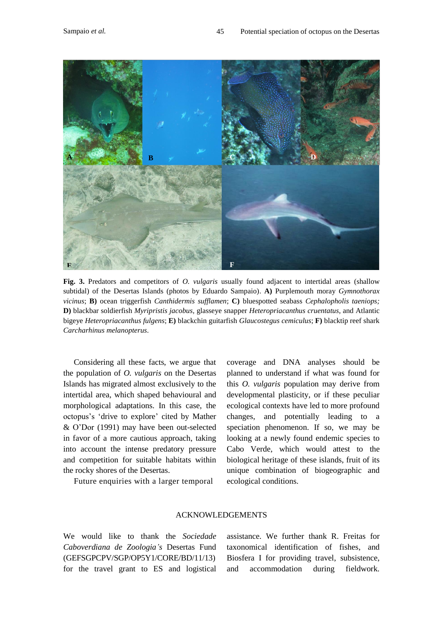

**Fig. 3.** Predators and competitors of *O. vulgaris* usually found adjacent to intertidal areas (shallow subtidal) of the Desertas Islands (photos by Eduardo Sampaio). **A)** Purplemouth moray *Gymnothorax vicinus*; **B)** ocean triggerfish *Canthidermis sufflamen*; **C)** bluespotted seabass *Cephalopholis taeniops;* **D)** blackbar soldierfish *Myripristis jacobus,* glasseye snapper *Heteropriacanthus cruentatus*, and Atlantic bigeye *Heteropriacanthus fulgens*; **E)** blackchin guitarfish *Glaucostegus cemiculus*; **F)** blacktip reef shark *Carcharhinus melanopterus*.

Considering all these facts, we argue that the population of *O. vulgaris* on the Desertas Islands has migrated almost exclusively to the intertidal area, which shaped behavioural and morphological adaptations. In this case, the octopus's 'drive to explore' cited by Mather & O'Dor (1991) may have been out-selected in favor of a more cautious approach, taking into account the intense predatory pressure and competition for suitable habitats within the rocky shores of the Desertas.

Future enquiries with a larger temporal

coverage and DNA analyses should be planned to understand if what was found for this *O. vulgaris* population may derive from developmental plasticity, or if these peculiar ecological contexts have led to more profound changes, and potentially leading to a speciation phenomenon. If so, we may be looking at a newly found endemic species to Cabo Verde, which would attest to the biological heritage of these islands, fruit of its unique combination of biogeographic and ecological conditions.

#### ACKNOWLEDGEMENTS

We would like to thank the *Sociedade Caboverdiana de Zoologia's* Desertas Fund (GEFSGPCPV/SGP/OP5Y1/CORE/BD/11/13) for the travel grant to ES and logistical

assistance. We further thank R. Freitas for taxonomical identification of fishes, and Biosfera I for providing travel, subsistence, and accommodation during fieldwork.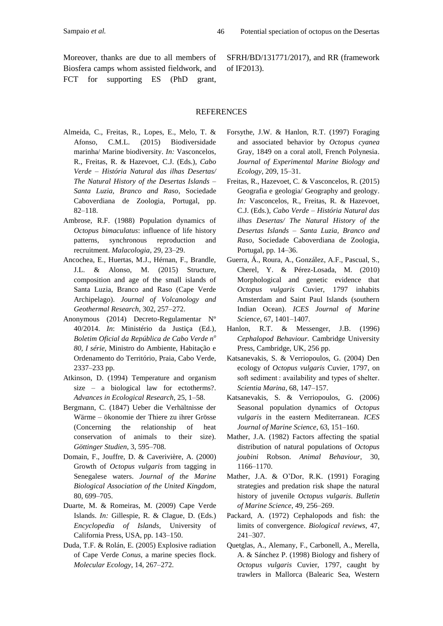Moreover, thanks are due to all members of Biosfera camps whom assisted fieldwork, and FCT for supporting ES (PhD grant, SFRH/BD/131771/2017), and RR (framework of IF2013).

#### REFERENCES

- Almeida, C., Freitas, R., Lopes, E., Melo, T. & Afonso, C.M.L. (2015) Biodiversidade marinha/ Marine biodiversity. *In:* Vasconcelos, R., Freitas, R. & Hazevoet, C.J. (Eds.), *Cabo Verde – História Natural das ilhas Desertas/ The Natural History of the Desertas Islands – Santa Luzia, Branco and Raso*, Sociedade Caboverdiana de Zoologia, Portugal, pp. 82–118.
- Ambrose, R.F. (1988) Population dynamics of *Octopus bimaculatus*: influence of life history patterns, synchronous reproduction and recruitment. *Malacologia*, 29, 23–29.
- Ancochea, E., Huertas, M.J., Hérnan, F., Brandle, J.L. & Alonso, M. (2015) Structure, composition and age of the small islands of Santa Luzia, Branco and Raso (Cape Verde Archipelago). *Journal of Volcanology and Geothermal Research*, 302, 257–272.
- Anonymous (2014) Decreto-Regulamentar Nº 40/2014. *In*: Ministério da Justiça (Ed.), *Boletim Oficial da República de Cabo Verde n<sup>o</sup> 80, I série,* Ministro do Ambiente, Habitação e Ordenamento do Território, Praia, Cabo Verde, 2337–233 pp.
- Atkinson, D. (1994) Temperature and organism size – a biological law for ectotherms?. *Advances in Ecological Research*, 25, 1–58.
- Bergmann, C. (1847) Ueber die Verhältnisse der Wärme – ökonomie der Thiere zu ihrer Grösse (Concerning the relationship of heat conservation of animals to their size). *Göttinger Studien*, 3, 595–708.
- Domain, F., Jouffre, D. & Caverivière, A. (2000) Growth of *Octopus vulgaris* from tagging in Senegalese waters. *Journal of the Marine Biological Association of the United Kingdom*, 80, 699–705.
- Duarte, M. & Romeiras, M. (2009) Cape Verde Islands. *In:* Gillespie, R. & Clague, D. (Eds.) *Encyclopedia of Islands*, University of California Press, USA, pp. 143–150.
- Duda, T.F. & Rolán, E. (2005) Explosive radiation of Cape Verde *Conus*, a marine species flock. *Molecular Ecology*, 14, 267–272.
- Forsythe, J.W. & Hanlon, R.T. (1997) Foraging and associated behavior by *Octopus cyanea* Gray, 1849 on a coral atoll, French Polynesia. *Journal of Experimental Marine Biology and Ecology*, 209, 15–31.
- Freitas, R., Hazevoet, C. & Vasconcelos, R. (2015) Geografia e geologia/ Geography and geology. *In:* Vasconcelos, R., Freitas, R. & Hazevoet, C.J. (Eds.), *Cabo Verde – História Natural das ilhas Desertas/ The Natural History of the Desertas Islands – Santa Luzia, Branco and Raso*, Sociedade Caboverdiana de Zoologia, Portugal, pp. 14–36.
- Guerra, Á., Roura, A., González, A.F., Pascual, S., Cherel, Y. & Pérez-Losada, M. (2010) Morphological and genetic evidence that *Octopus vulgaris* Cuvier, 1797 inhabits Amsterdam and Saint Paul Islands (southern Indian Ocean). *ICES Journal of Marine Science*, 67, 1401–1407.
- Hanlon, R.T. & Messenger, J.B. (1996) *Cephalopod Behaviour.* Cambridge University Press, Cambridge, UK, 256 pp.
- Katsanevakis, S. & Verriopoulos, G. (2004) Den ecology of *Octopus vulgaris* Cuvier, 1797, on soft sediment : availability and types of shelter. *Scientia Marina*, 68, 147–157.
- Katsanevakis, S. & Verriopoulos, G. (2006) Seasonal population dynamics of *Octopus vulgaris* in the eastern Mediterranean. *ICES Journal of Marine Science*, 63, 151–160.
- Mather, J.A. (1982) Factors affecting the spatial distribution of natural populations of *Octopus joubini* Robson. *Animal Behaviour*, 30, 1166–1170.
- Mather, J.A. & O'Dor, R.K. (1991) Foraging strategies and predation risk shape the natural history of juvenile *Octopus vulgaris*. *Bulletin of Marine Science*, 49, 256–269.
- Packard, A. (1972) Cephalopods and fish: the limits of convergence. *Biological reviews*, 47, 241–307.
- Quetglas, A., Alemany, F., Carbonell, A., Merella, A. & Sánchez P. (1998) Biology and fishery of *Octopus vulgaris* Cuvier, 1797, caught by trawlers in Mallorca (Balearic Sea, Western